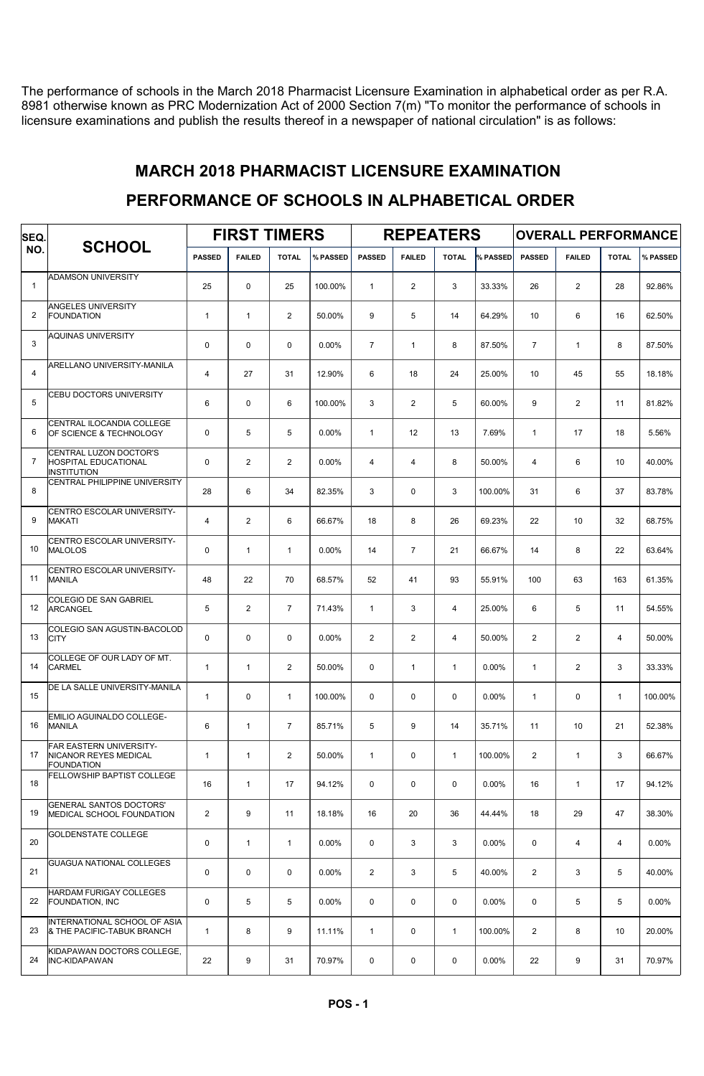The performance of schools in the March 2018 Pharmacist Licensure Examination in alphabetical order as per R.A. 8981 otherwise known as PRC Modernization Act of 2000 Section 7(m) "To monitor the performance of schools in licensure examinations and publish the results thereof in a newspaper of national circulation" is as follows:

#### MARCH 2018 PHARMACIST LICENSURE EXAMINATION

### PERFORMANCE OF SCHOOLS IN ALPHABETICAL ORDER

| SEQ.           | <b>SCHOOL</b>                                                               | <b>FIRST TIMERS</b> |                |                |          |                |                | <b>REPEATERS</b> |          | <b>OVERALL PERFORMANCE</b> |                |                |          |  |
|----------------|-----------------------------------------------------------------------------|---------------------|----------------|----------------|----------|----------------|----------------|------------------|----------|----------------------------|----------------|----------------|----------|--|
| NO.            |                                                                             | <b>PASSED</b>       | <b>FAILED</b>  | <b>TOTAL</b>   | % PASSED | <b>PASSED</b>  | <b>FAILED</b>  | <b>TOTAL</b>     | % PASSED | <b>PASSED</b>              | <b>FAILED</b>  | <b>TOTAL</b>   | % PASSED |  |
| $\mathbf{1}$   | <b>ADAMSON UNIVERSITY</b>                                                   | 25                  | $\mathbf 0$    | 25             | 100.00%  | $\mathbf{1}$   | $\overline{2}$ | 3                | 33.33%   | 26                         | $\mathbf{2}$   | 28             | 92.86%   |  |
| $\overline{2}$ | <b>ANGELES UNIVERSITY</b><br><b>FOUNDATION</b>                              | $\mathbf{1}$        | $\overline{1}$ | $\overline{2}$ | 50.00%   | 9              | 5              | 14               | 64.29%   | 10                         | 6              | 16             | 62.50%   |  |
| 3              | <b>AQUINAS UNIVERSITY</b>                                                   | 0                   | $\mathbf 0$    | $\mathbf 0$    | $0.00\%$ | $\overline{7}$ | $\mathbf{1}$   | 8                | 87.50%   | $\overline{7}$             | $\mathbf{1}$   | 8              | 87.50%   |  |
| 4              | ARELLANO UNIVERSITY-MANILA                                                  | $\overline{4}$      | 27             | 31             | 12.90%   | 6              | 18             | 24               | 25.00%   | 10                         | 45             | 55             | 18.18%   |  |
| 5              | CEBU DOCTORS UNIVERSITY                                                     | 6                   | $\mathbf 0$    | 6              | 100.00%  | 3              | $\overline{2}$ | 5                | 60.00%   | 9                          | 2              | 11             | 81.82%   |  |
| 6              | CENTRAL ILOCANDIA COLLEGE<br>OF SCIENCE & TECHNOLOGY                        | 0                   | 5              | 5              | 0.00%    | $\mathbf{1}$   | 12             | 13               | 7.69%    | $\mathbf{1}$               | 17             | 18             | 5.56%    |  |
| $\overline{7}$ | CENTRAL LUZON DOCTOR'S<br><b>HOSPITAL EDUCATIONAL</b><br><b>INSTITUTION</b> | 0                   | 2              | $\overline{2}$ | $0.00\%$ | $\overline{4}$ | $\overline{4}$ | 8                | 50.00%   | 4                          | 6              | 10             | 40.00%   |  |
| 8              | CENTRAL PHILIPPINE UNIVERSITY                                               | 28                  | 6              | 34             | 82.35%   | 3              | 0              | 3                | 100.00%  | 31                         | 6              | 37             | 83.78%   |  |
| 9              | CENTRO ESCOLAR UNIVERSITY-<br><b>MAKATI</b>                                 | $\overline{4}$      | 2              | 6              | 66.67%   | 18             | 8              | 26               | 69.23%   | 22                         | 10             | 32             | 68.75%   |  |
| 10             | CENTRO ESCOLAR UNIVERSITY-<br><b>MALOLOS</b>                                | 0                   | $\mathbf{1}$   | $\mathbf{1}$   | $0.00\%$ | 14             | $\overline{7}$ | 21               | 66.67%   | 14                         | 8              | 22             | 63.64%   |  |
| 11             | CENTRO ESCOLAR UNIVERSITY-<br><b>MANILA</b>                                 | 48                  | 22             | 70             | 68.57%   | 52             | 41             | 93               | 55.91%   | 100                        | 63             | 163            | 61.35%   |  |
| 12             | <b>COLEGIO DE SAN GABRIEL</b><br><b>ARCANGEL</b>                            | 5                   | 2              | $\overline{7}$ | 71.43%   | $\mathbf{1}$   | 3              | $\overline{4}$   | 25.00%   | 6                          | 5              | 11             | 54.55%   |  |
| 13             | COLEGIO SAN AGUSTIN-BACOLOD<br><b>CITY</b>                                  | 0                   | $\mathbf 0$    | 0              | 0.00%    | 2              | $\overline{2}$ | $\overline{4}$   | 50.00%   | 2                          | $\overline{2}$ | $\overline{4}$ | 50.00%   |  |
| 14             | COLLEGE OF OUR LADY OF MT.<br><b>CARMEL</b>                                 | $\mathbf{1}$        | $\overline{1}$ | $\overline{2}$ | 50.00%   | $\mathbf 0$    | $\mathbf{1}$   | $\mathbf{1}$     | 0.00%    | $\mathbf{1}$               | 2              | 3              | 33.33%   |  |
| 15             | DE LA SALLE UNIVERSITY-MANILA                                               | $\mathbf{1}$        | $\mathbf 0$    | $\mathbf{1}$   | 100.00%  | $\mathbf 0$    | 0              | $\mathbf 0$      | 0.00%    | $\mathbf{1}$               | 0              | $\mathbf{1}$   | 100.00%  |  |
| 16             | EMILIO AGUINALDO COLLEGE-<br><b>MANILA</b>                                  | 6                   | $\mathbf{1}$   | $\overline{7}$ | 85.71%   | 5              | 9              | 14               | 35.71%   | 11                         | 10             | 21             | 52.38%   |  |
| 17             | FAR EASTERN UNIVERSITY-<br>NICANOR REYES MEDICAL<br><b>FOUNDATION</b>       | $\mathbf{1}$        | $\mathbf{1}$   | $\overline{2}$ | 50.00%   | $\mathbf{1}$   | 0              | $\mathbf{1}$     | 100.00%  | $\overline{2}$             | $\mathbf{1}$   | 3              | 66.67%   |  |
| 18             | FELLOWSHIP BAPTIST COLLEGE                                                  | 16                  | $\mathbf{1}$   | 17             | 94.12%   | 0              | 0              | 0                | 0.00%    | 16                         | $\mathbf{1}$   | 17             | 94.12%   |  |
| 19             | <b>GENERAL SANTOS DOCTORS'</b><br>MEDICAL SCHOOL FOUNDATION                 | $\overline{2}$      | 9              | 11             | 18.18%   | 16             | 20             | 36               | 44.44%   | 18                         | 29             | 47             | 38.30%   |  |
| 20             | <b>GOLDENSTATE COLLEGE</b>                                                  | 0                   | $\mathbf{1}$   | $\mathbf{1}$   | $0.00\%$ | 0              | 3              | 3                | 0.00%    | 0                          | 4              | 4              | 0.00%    |  |
| 21             | GUAGUA NATIONAL COLLEGES                                                    | 0                   | $\mathbf 0$    | 0              | $0.00\%$ | 2              | 3              | 5                | 40.00%   | $\overline{2}$             | 3              | 5              | 40.00%   |  |
| 22             | HARDAM FURIGAY COLLEGES<br><b>FOUNDATION, INC</b>                           | 0                   | 5              | 5              | $0.00\%$ | 0              | 0              | $\mathbf 0$      | 0.00%    | 0                          | 5              | 5              | 0.00%    |  |
| 23             | INTERNATIONAL SCHOOL OF ASIA<br>& THE PACIFIC-TABUK BRANCH                  | $\mathbf{1}$        | 8              | 9              | 11.11%   | $\mathbf{1}$   | 0              | $\mathbf{1}$     | 100.00%  | $\overline{2}$             | 8              | 10             | 20.00%   |  |
| 24             | KIDAPAWAN DOCTORS COLLEGE,<br><b>INC-KIDAPAWAN</b>                          | 22                  | 9              | 31             | 70.97%   | 0              | 0              | 0                | $0.00\%$ | 22                         | 9              | 31             | 70.97%   |  |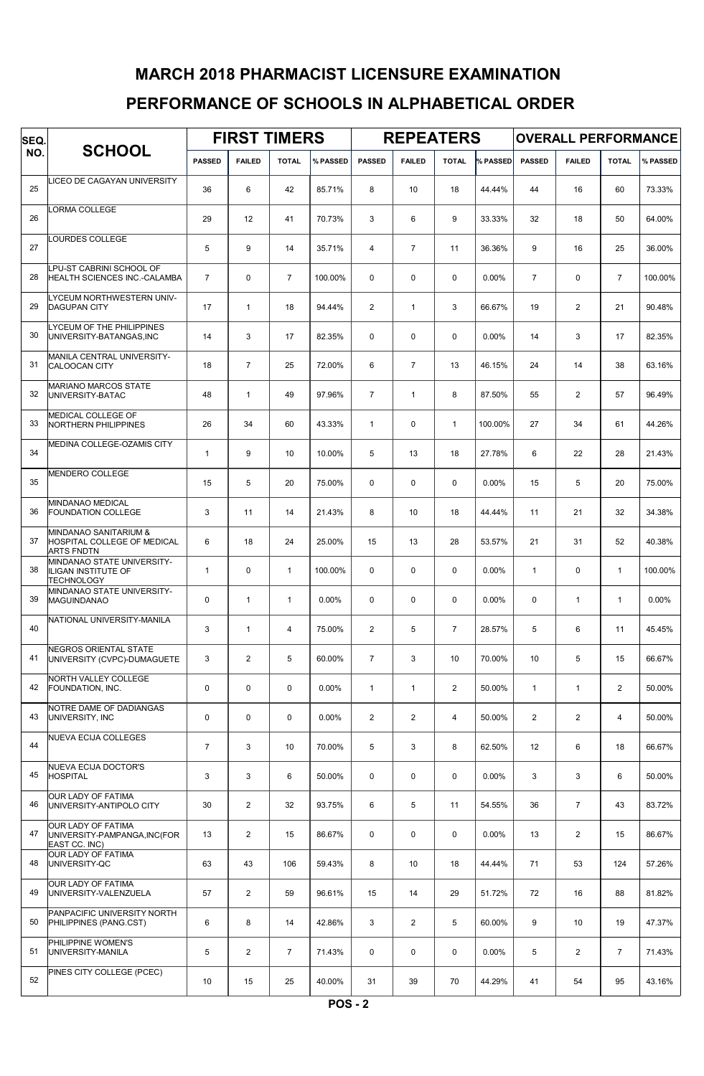# MARCH 2018 PHARMACIST LICENSURE EXAMINATION

## PERFORMANCE OF SCHOOLS IN ALPHABETICAL ORDER

| SEQ. |                                                                               | <b>FIRST TIMERS</b> |                |                 |          |                |                | <b>REPEATERS</b> |          | <b>OVERALL PERFORMANCE</b> |                |                |          |  |
|------|-------------------------------------------------------------------------------|---------------------|----------------|-----------------|----------|----------------|----------------|------------------|----------|----------------------------|----------------|----------------|----------|--|
| NO.  | <b>SCHOOL</b>                                                                 | <b>PASSED</b>       | <b>FAILED</b>  | <b>TOTAL</b>    | % PASSED | <b>PASSED</b>  | <b>FAILED</b>  | <b>TOTAL</b>     | % PASSED | <b>PASSED</b>              | <b>FAILED</b>  | <b>TOTAL</b>   | % PASSED |  |
| 25   | <b>ICEO DE CAGAYAN UNIVERSITY</b>                                             | 36                  | 6              | 42              | 85.71%   | 8              | 10             | 18               | 44.44%   | 44                         | 16             | 60             | 73.33%   |  |
| 26   | ORMA COLLEGE                                                                  | 29                  | 12             | 41              | 70.73%   | 3              | 6              | 9                | 33.33%   | 32                         | 18             | 50             | 64.00%   |  |
| 27   | OURDES COLLEGE                                                                | 5                   | 9              | 14              | 35.71%   | $\overline{4}$ | $\overline{7}$ | 11               | 36.36%   | 9                          | 16             | 25             | 36.00%   |  |
| 28   | LPU-ST CABRINI SCHOOL OF<br>HEALTH SCIENCES INC.-CALAMBA                      | $\overline{7}$      | $\mathbf 0$    | $\overline{7}$  | 100.00%  | $\Omega$       | $\mathbf 0$    | $\mathbf 0$      | 0.00%    | $\overline{7}$             | 0              | $\overline{7}$ | 100.00%  |  |
| 29   | LYCEUM NORTHWESTERN UNIV-<br><b>DAGUPAN CITY</b>                              | 17                  | $\mathbf{1}$   | 18              | 94.44%   | 2              | $\mathbf{1}$   | 3                | 66.67%   | 19                         | $\overline{2}$ | 21             | 90.48%   |  |
| 30   | LYCEUM OF THE PHILIPPINES<br>UNIVERSITY-BATANGAS, INC                         | 14                  | 3              | 17              | 82.35%   | $\mathbf 0$    | $\mathbf 0$    | $\mathbf 0$      | 0.00%    | 14                         | 3              | 17             | 82.35%   |  |
| 31   | MANILA CENTRAL UNIVERSITY-<br>CALOOCAN CITY                                   | 18                  | $\overline{7}$ | 25              | 72.00%   | 6              | $\overline{7}$ | 13               | 46.15%   | 24                         | 14             | 38             | 63.16%   |  |
| 32   | <b>MARIANO MARCOS STATE</b><br>UNIVERSITY-BATAC                               | 48                  | $\mathbf{1}$   | 49              | 97.96%   | $\overline{7}$ | $\mathbf{1}$   | 8                | 87.50%   | 55                         | $\overline{2}$ | 57             | 96.49%   |  |
| 33   | <b>MEDICAL COLLEGE OF</b><br><b>NORTHERN PHILIPPINES</b>                      | 26                  | 34             | 60              | 43.33%   | $\mathbf{1}$   | $\mathbf 0$    | $\mathbf{1}$     | 100.00%  | 27                         | 34             | 61             | 44.26%   |  |
| 34   | MEDINA COLLEGE-OZAMIS CITY                                                    | $\mathbf{1}$        | 9              | 10 <sup>1</sup> | 10.00%   | 5              | 13             | 18               | 27.78%   | 6                          | 22             | 28             | 21.43%   |  |
| 35   | MENDERO COLLEGE                                                               | 15                  | 5              | 20              | 75.00%   | $\mathbf 0$    | $\mathbf 0$    | $\mathbf 0$      | 0.00%    | 15                         | 5              | 20             | 75.00%   |  |
| 36   | MINDANAO MEDICAL<br><b>FOUNDATION COLLEGE</b>                                 | 3                   | 11             | 14              | 21.43%   | 8              | 10             | 18               | 44.44%   | 11                         | 21             | 32             | 34.38%   |  |
| 37   | MINDANAO SANITARIUM &<br>HOSPITAL COLLEGE OF MEDICAL<br><b>ARTS FNDTN</b>     | 6                   | 18             | 24              | 25.00%   | 15             | 13             | 28               | 53.57%   | 21                         | 31             | 52             | 40.38%   |  |
| 38   | MINDANAO STATE UNIVERSITY-<br><b>ILIGAN INSTITUTE OF</b><br><b>TECHNOLOGY</b> | $\mathbf{1}$        | $\mathbf 0$    | $\mathbf{1}$    | 100.00%  | $\mathbf 0$    | $\mathbf 0$    | $\mathbf 0$      | 0.00%    | $\mathbf{1}$               | 0              | $\mathbf{1}$   | 100.00%  |  |
| 39   | MINDANAO STATE UNIVERSITY-<br><b>MAGUINDANAO</b>                              | $\mathbf 0$         | $\mathbf{1}$   | $\mathbf{1}$    | $0.00\%$ | $\mathbf 0$    | $\mathbf 0$    | $\mathbf 0$      | 0.00%    | $\mathbf 0$                | $\mathbf{1}$   | $\mathbf{1}$   | 0.00%    |  |
| 40   | NATIONAL UNIVERSITY-MANILA                                                    | 3                   | $\mathbf{1}$   | $\overline{4}$  | 75.00%   | $\overline{2}$ | 5              | $\overline{7}$   | 28.57%   | 5                          | 6              | 11             | 45.45%   |  |
| 41   | NEGROS ORIENTAL STATE<br>UNIVERSITY (CVPC)-DUMAGUETE                          | 3                   | $\overline{2}$ | 5               | 60.00%   | $\overline{7}$ | 3              | 10               | 70.00%   | 10                         | 5              | 15             | 66.67%   |  |
| 42   | NORTH VALLEY COLLEGE<br>FOUNDATION, INC.                                      | $\pmb{0}$           | $\mathbf 0$    | $\mathbf 0$     | 0.00%    | $\mathbf{1}$   | $\mathbf{1}$   | $\overline{2}$   | 50.00%   | $\mathbf{1}$               | $\mathbf{1}$   | $\overline{2}$ | 50.00%   |  |
| 43   | NOTRE DAME OF DADIANGAS<br>UNIVERSITY, INC                                    | $\mathbf 0$         | $\mathbf 0$    | $\mathbf 0$     | 0.00%    | $\overline{2}$ | $\overline{2}$ | 4                | 50.00%   | $\overline{2}$             | $\overline{2}$ | $\overline{4}$ | 50.00%   |  |
| 44   | <b>NUEVA ECIJA COLLEGES</b>                                                   | $\overline{7}$      | 3              | 10              | 70.00%   | 5              | 3              | 8                | 62.50%   | 12                         | 6              | 18             | 66.67%   |  |
| 45   | NUEVA ECIJA DOCTOR'S<br>HOSPITAL                                              | 3                   | 3              | 6               | 50.00%   | $\mathbf 0$    | $\mathbf 0$    | $\mathbf 0$      | 0.00%    | 3                          | 3              | 6              | 50.00%   |  |
| 46   | OUR LADY OF FATIMA<br>UNIVERSITY-ANTIPOLO CITY                                | 30                  | $\overline{2}$ | 32              | 93.75%   | 6              | 5              | 11               | 54.55%   | 36                         | $\overline{7}$ | 43             | 83.72%   |  |
| 47   | OUR LADY OF FATIMA<br>UNIVERSITY-PAMPANGA, INC(FOR<br>EAST CC. INC)           | 13                  | $\overline{2}$ | 15              | 86.67%   | 0              | $\mathbf 0$    | $\mathbf 0$      | 0.00%    | 13                         | $\overline{2}$ | 15             | 86.67%   |  |
| 48   | OUR LADY OF FATIMA<br>UNIVERSITY-QC                                           | 63                  | 43             | 106             | 59.43%   | 8              | 10             | 18               | 44.44%   | 71                         | 53             | 124            | 57.26%   |  |
| 49   | OUR LADY OF FATIMA<br>UNIVERSITY-VALENZUELA                                   | 57                  | $\overline{2}$ | 59              | 96.61%   | 15             | 14             | 29               | 51.72%   | 72                         | 16             | 88             | 81.82%   |  |
| 50   | PANPACIFIC UNIVERSITY NORTH<br>PHILIPPINES (PANG.CST)                         | 6                   | 8              | 14              | 42.86%   | 3              | $\overline{2}$ | 5                | 60.00%   | 9                          | 10             | 19             | 47.37%   |  |
| 51   | PHILIPPINE WOMEN'S<br>UNIVERSITY-MANILA                                       | 5                   | $\overline{2}$ | $\overline{7}$  | 71.43%   | 0              | $\mathbf 0$    | $\mathbf 0$      | 0.00%    | 5                          | $\overline{2}$ | $\overline{7}$ | 71.43%   |  |
| 52   | PINES CITY COLLEGE (PCEC)                                                     | 10                  | 15             | 25              | 40.00%   | 31             | 39             | 70               | 44.29%   | 41                         | 54             | 95             | 43.16%   |  |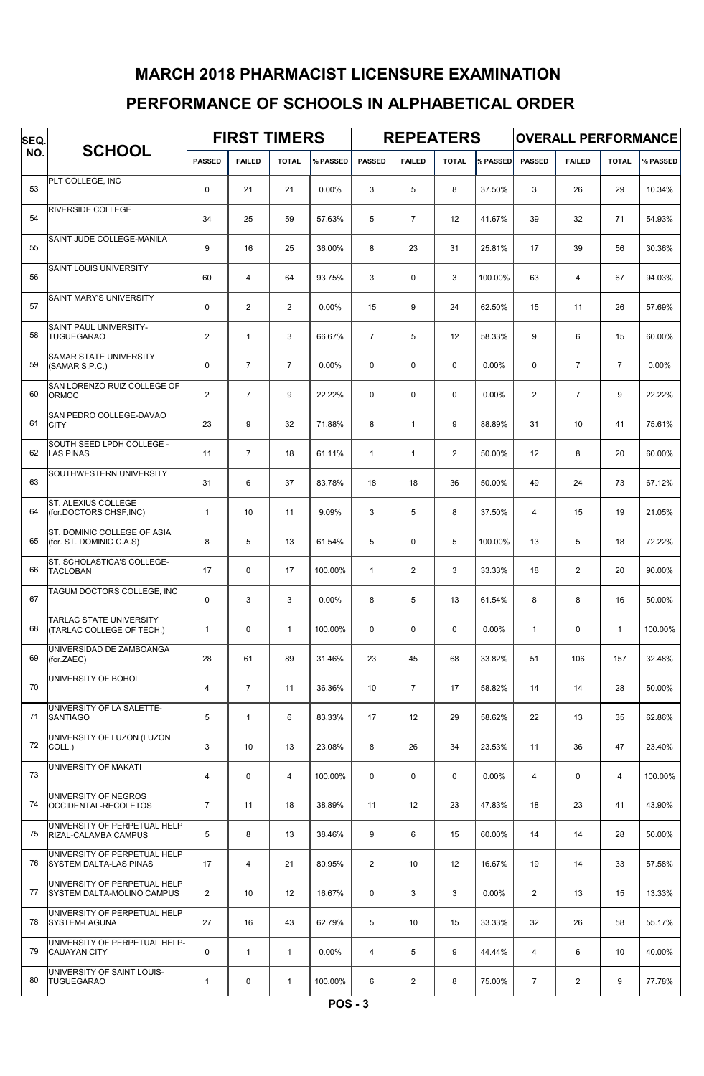# PERFORMANCE OF SCHOOLS IN ALPHABETICAL ORDER MARCH 2018 PHARMACIST LICENSURE EXAMINATION

| SEQ. |                                                               |                | <b>FIRST TIMERS</b> |                |          |                | <b>REPEATERS</b> |                |          | <b>OVERALL PERFORMANCE</b> |                |                |          |  |
|------|---------------------------------------------------------------|----------------|---------------------|----------------|----------|----------------|------------------|----------------|----------|----------------------------|----------------|----------------|----------|--|
| NO.  | <b>SCHOOL</b>                                                 | <b>PASSED</b>  | <b>FAILED</b>       | <b>TOTAL</b>   | % PASSED | <b>PASSED</b>  | <b>FAILED</b>    | <b>TOTAL</b>   | % PASSED | <b>PASSED</b>              | <b>FAILED</b>  | <b>TOTAL</b>   | % PASSED |  |
| 53   | PLT COLLEGE, INC                                              | 0              | 21                  | 21             | 0.00%    | 3              | 5                | 8              | 37.50%   | 3                          | 26             | 29             | 10.34%   |  |
| 54   | RIVERSIDE COLLEGE                                             | 34             | 25                  | 59             | 57.63%   | 5              | $\overline{7}$   | 12             | 41.67%   | 39                         | 32             | 71             | 54.93%   |  |
| 55   | SAINT JUDE COLLEGE-MANILA                                     | 9              | 16                  | 25             | 36.00%   | 8              | 23               | 31             | 25.81%   | 17                         | 39             | 56             | 30.36%   |  |
| 56   | SAINT LOUIS UNIVERSITY                                        | 60             | $\overline{4}$      | 64             | 93.75%   | 3              | $\pmb{0}$        | 3              | 100.00%  | 63                         | $\overline{4}$ | 67             | 94.03%   |  |
| 57   | SAINT MARY'S UNIVERSITY                                       | 0              | $\overline{2}$      | $\overline{2}$ | 0.00%    | 15             | 9                | 24             | 62.50%   | 15                         | 11             | 26             | 57.69%   |  |
| 58   | SAINT PAUL UNIVERSITY-<br><b>TUGUEGARAO</b>                   | $\overline{2}$ | $\mathbf{1}$        | 3              | 66.67%   | $\overline{7}$ | 5                | 12             | 58.33%   | 9                          | 6              | 15             | 60.00%   |  |
| 59   | <b>SAMAR STATE UNIVERSITY</b><br>(SAMAR S.P.C.)               | 0              | $\overline{7}$      | $\overline{7}$ | 0.00%    | $\mathbf 0$    | $\mathbf 0$      | $\mathbf 0$    | 0.00%    | $\mathbf 0$                | $\overline{7}$ | $\overline{7}$ | 0.00%    |  |
| 60   | SAN LORENZO RUIZ COLLEGE OF<br>ORMOC                          | $\overline{2}$ | $\overline{7}$      | 9              | 22.22%   | $\mathbf 0$    | $\mathbf 0$      | $\mathbf 0$    | 0.00%    | $\overline{2}$             | $\overline{7}$ | 9              | 22.22%   |  |
| 61   | SAN PEDRO COLLEGE-DAVAO<br><b>CITY</b>                        | 23             | 9                   | 32             | 71.88%   | 8              | $\mathbf{1}$     | 9              | 88.89%   | 31                         | 10             | 41             | 75.61%   |  |
| 62   | SOUTH SEED LPDH COLLEGE -<br><b>LAS PINAS</b>                 | 11             | $\overline{7}$      | 18             | 61.11%   | $\mathbf{1}$   | $\mathbf{1}$     | $\overline{2}$ | 50.00%   | 12                         | 8              | 20             | 60.00%   |  |
| 63   | SOUTHWESTERN UNIVERSITY                                       | 31             | 6                   | 37             | 83.78%   | 18             | 18               | 36             | 50.00%   | 49                         | 24             | 73             | 67.12%   |  |
| 64   | ST. ALEXIUS COLLEGE<br>(for.DOCTORS CHSF, INC)                | $\mathbf{1}$   | 10                  | 11             | 9.09%    | 3              | 5                | 8              | 37.50%   | $\overline{4}$             | 15             | 19             | 21.05%   |  |
| 65   | ST. DOMINIC COLLEGE OF ASIA<br>(for. ST. DOMINIC C.A.S)       | 8              | 5                   | 13             | 61.54%   | 5              | 0                | 5              | 100.00%  | 13                         | 5              | 18             | 72.22%   |  |
| 66   | ST. SCHOLASTICA'S COLLEGE-<br><b>TACLOBAN</b>                 | 17             | $\mathbf 0$         | 17             | 100.00%  | $\mathbf{1}$   | $\overline{2}$   | 3              | 33.33%   | 18                         | $\overline{2}$ | 20             | 90.00%   |  |
| 67   | TAGUM DOCTORS COLLEGE, INC                                    | 0              | 3                   | 3              | $0.00\%$ | 8              | 5                | 13             | 61.54%   | 8                          | 8              | 16             | 50.00%   |  |
| 68   | <b>TARLAC STATE UNIVERSITY</b><br>(TARLAC COLLEGE OF TECH.)   | $\mathbf{1}$   | 0                   | $\mathbf{1}$   | 100.00%  | $\mathbf 0$    | $\mathbf 0$      | 0              | 0.00%    | $\mathbf{1}$               | $\mathbf 0$    | $\mathbf{1}$   | 100.00%  |  |
| 69   | UNIVERSIDAD DE ZAMBOANGA<br>(for.ZAEC)                        | 28             | 61                  | 89             | 31.46%   | 23             | 45               | 68             | 33.82%   | 51                         | 106            | 157            | 32.48%   |  |
| 70   | UNIVERSITY OF BOHOL                                           | $\overline{4}$ | $\overline{7}$      | 11             | 36.36%   | 10             | $\overline{7}$   | 17             | 58.82%   | 14                         | 14             | 28             | 50.00%   |  |
| 71   | UNIVERSITY OF LA SALETTE-<br><b>SANTIAGO</b>                  | 5              | $\mathbf{1}$        | 6              | 83.33%   | 17             | 12               | 29             | 58.62%   | 22                         | 13             | 35             | 62.86%   |  |
| 72   | UNIVERSITY OF LUZON (LUZON<br>COLL.)                          | 3              | 10                  | 13             | 23.08%   | 8              | 26               | 34             | 23.53%   | 11                         | 36             | 47             | 23.40%   |  |
| 73   | UNIVERSITY OF MAKATI                                          | 4              | $\mathbf 0$         | $\overline{4}$ | 100.00%  | $\mathbf 0$    | 0                | 0              | 0.00%    | 4                          | 0              | 4              | 100.00%  |  |
| 74   | UNIVERSITY OF NEGROS<br>OCCIDENTAL-RECOLETOS                  | $\overline{7}$ | 11                  | 18             | 38.89%   | 11             | 12               | 23             | 47.83%   | 18                         | 23             | 41             | 43.90%   |  |
| 75   | UNIVERSITY OF PERPETUAL HELP<br>RIZAL-CALAMBA CAMPUS          | 5              | 8                   | 13             | 38.46%   | 9              | 6                | 15             | 60.00%   | 14                         | 14             | 28             | 50.00%   |  |
| 76   | UNIVERSITY OF PERPETUAL HELP<br><b>SYSTEM DALTA-LAS PINAS</b> | 17             | $\overline{4}$      | 21             | 80.95%   | 2              | 10               | 12             | 16.67%   | 19                         | 14             | 33             | 57.58%   |  |
| 77   | UNIVERSITY OF PERPETUAL HELP<br>SYSTEM DALTA-MOLINO CAMPUS    | $\overline{2}$ | 10                  | 12             | 16.67%   | 0              | 3                | 3              | 0.00%    | $\overline{2}$             | 13             | 15             | 13.33%   |  |
| 78   | UNIVERSITY OF PERPETUAL HELP<br>SYSTEM-LAGUNA                 | 27             | 16                  | 43             | 62.79%   | 5              | 10               | 15             | 33.33%   | 32                         | 26             | 58             | 55.17%   |  |
| 79   | UNIVERSITY OF PERPETUAL HELP-<br><b>CAUAYAN CITY</b>          | 0              | $\mathbf{1}$        | $\mathbf{1}$   | 0.00%    | $\overline{4}$ | 5                | 9              | 44.44%   | 4                          | 6              | 10             | 40.00%   |  |
| 80   | UNIVERSITY OF SAINT LOUIS-<br><b>TUGUEGARAO</b>               | $\mathbf{1}$   | 0                   | $\mathbf{1}$   | 100.00%  | 6              | $\overline{2}$   | 8              | 75.00%   | $\overline{7}$             | $\overline{2}$ | 9              | 77.78%   |  |